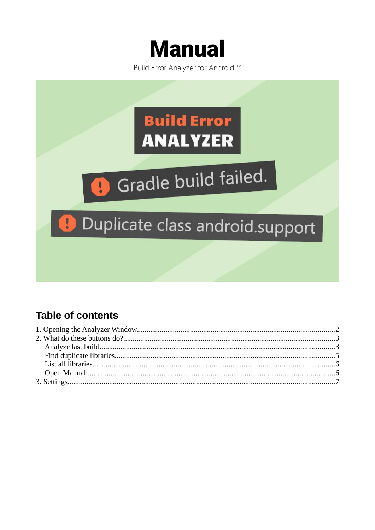

Build Error Analyzer for Android ™



#### **Table of contents**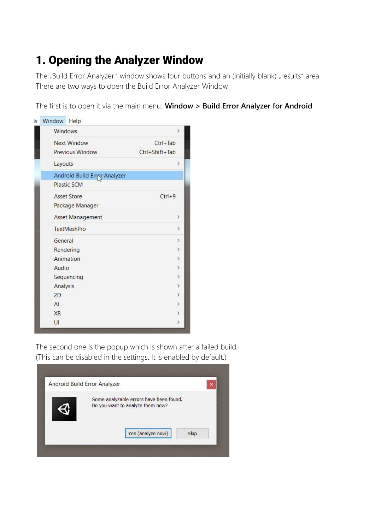# <span id="page-1-0"></span>1. Opening the Analyzer Window

The "Build Error Analyzer" window shows four buttons and an (initially blank) "results" area. There are two ways to open the Build Error Analyzer Window.

The first is to open it via the main menu: **Window > Build Error Analyzer for Android**



The second one is the popup which is shown after a failed build. (This can be disabled in the settings. It is enabled by default.)

|                                  | Some analyzable errors have been found. |      |
|----------------------------------|-----------------------------------------|------|
| Do you want to analyze them now? |                                         |      |
|                                  |                                         |      |
|                                  |                                         |      |
|                                  |                                         |      |
|                                  | Yes (analyze now)                       | Skip |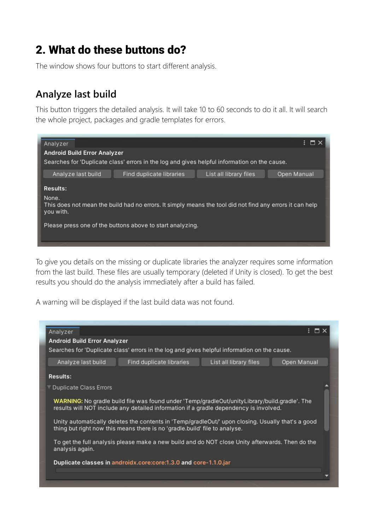## <span id="page-2-1"></span>2. What do these buttons do?

The window shows four buttons to start different analysis.

#### <span id="page-2-0"></span>**Analyze last build**

This button triggers the detailed analysis. It will take 10 to 60 seconds to do it all. It will search the whole project, packages and gradle templates for errors.



To give you details on the missing or duplicate libraries the analyzer requires some information from the last build. These files are usually temporary (deleted if Unity is closed). To get the best results you should do the analysis immediately after a build has failed.

A warning will be displayed if the last build data was not found.

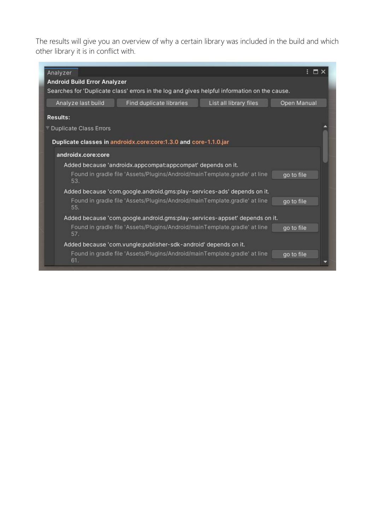The results will give you an overview of why a certain library was included in the build and which other library it is in conflict with.

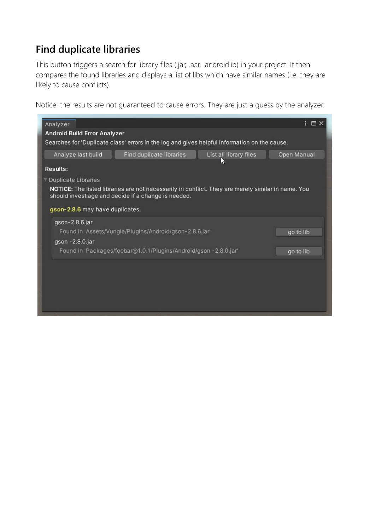### <span id="page-4-0"></span>**Find duplicate libraries**

This button triggers a search for library files (.jar, .aar, .androidlib) in your project. It then compares the found libraries and displays a list of libs which have similar names (i.e. they are likely to cause conflicts).

Notice: the results are not guaranteed to cause errors. They are just a guess by the analyzer.

| Analyzer                            |                                                                                                                                                           |                        |             |
|-------------------------------------|-----------------------------------------------------------------------------------------------------------------------------------------------------------|------------------------|-------------|
| <b>Android Build Error Analyzer</b> |                                                                                                                                                           |                        |             |
|                                     | Searches for 'Duplicate class' errors in the log and gives helpful information on the cause.                                                              |                        |             |
| Analyze last build                  | Find duplicate libraries                                                                                                                                  | List all library files | Open Manual |
| <b>Results:</b>                     |                                                                                                                                                           |                        |             |
| Duplicate Libraries                 |                                                                                                                                                           |                        |             |
|                                     | NOTICE: The listed libraries are not necessarily in conflict. They are merely similar in name. You<br>should investiage and decide if a change is needed. |                        |             |
| gson-2.8.6 may have duplicates.     |                                                                                                                                                           |                        |             |
| gson-2.8.6.jar                      |                                                                                                                                                           |                        |             |
|                                     | Found in 'Assets/Vungle/Plugins/Android/gson-2.8.6.jar'                                                                                                   |                        | go to lib   |
| gson - 2.8.0.jar                    |                                                                                                                                                           |                        |             |
|                                     | Found in 'Packages/foobar@1.0.1/Plugins/Android/gson - 2.8.0.jar'                                                                                         |                        | go to lib   |
|                                     |                                                                                                                                                           |                        |             |
|                                     |                                                                                                                                                           |                        |             |
|                                     |                                                                                                                                                           |                        |             |
|                                     |                                                                                                                                                           |                        |             |
|                                     |                                                                                                                                                           |                        |             |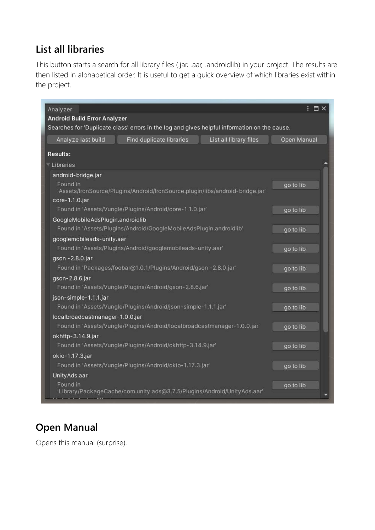### <span id="page-5-1"></span>**List all libraries**

This button starts a search for all library files (.jar, .aar, .androidlib) in your project. The results are then listed in alphabetical order. It is useful to get a quick overview of which libraries exist within the project.

| Analyzer<br><b>Android Build Error Analyzer</b>             |                                                                                              |                        | $: \blacksquare \times$ |
|-------------------------------------------------------------|----------------------------------------------------------------------------------------------|------------------------|-------------------------|
|                                                             | Searches for 'Duplicate class' errors in the log and gives helpful information on the cause. |                        |                         |
| Analyze last build                                          | Find duplicate libraries                                                                     | List all library files | Open Manual             |
| <b>Results:</b>                                             |                                                                                              |                        |                         |
| Libraries                                                   |                                                                                              |                        |                         |
| android-bridge.jar                                          |                                                                                              |                        |                         |
| Found in<br>core-1.1.0.jar                                  | 'Assets/IronSource/Plugins/Android/IronSource.plugin/libs/android-bridge.jar'                |                        | go to lib               |
|                                                             | Found in 'Assets/Vungle/Plugins/Android/core-1.1.0.jar'                                      |                        | go to lib               |
| GoogleMobileAdsPlugin.androidlib                            |                                                                                              |                        |                         |
|                                                             | Found in 'Assets/Plugins/Android/GoogleMobileAdsPlugin.androidlib'                           |                        | go to lib               |
| googlemobileads-unity.aar                                   |                                                                                              |                        |                         |
| Found in 'Assets/Plugins/Android/googlemobileads-unity.aar' |                                                                                              |                        | go to lib               |
| gson - 2.8.0.jar                                            |                                                                                              |                        |                         |
|                                                             | Found in 'Packages/foobar@1.0.1/Plugins/Android/gson -2.8.0.jar'                             |                        | go to lib               |
| gson-2.8.6.jar                                              |                                                                                              |                        |                         |
|                                                             | Found in 'Assets/Vungle/Plugins/Android/gson-2.8.6.jar'                                      |                        | go to lib               |
| json-simple-1.1.1.jar                                       |                                                                                              |                        |                         |
|                                                             | Found in 'Assets/Vungle/Plugins/Android/json-simple-1.1.1.jar'                               |                        | go to lib               |
| localbroadcastmanager-1.0.0.jar                             |                                                                                              |                        |                         |
|                                                             | Found in 'Assets/Vungle/Plugins/Android/localbroadcastmanager-1.0.0.jar'                     |                        | go to lib               |
| okhttp-3.14.9.jar                                           |                                                                                              |                        |                         |
|                                                             | Found in 'Assets/Vungle/Plugins/Android/okhttp-3.14.9.jar'                                   |                        | go to lib               |
| okio-1.17.3.jar                                             |                                                                                              |                        |                         |
|                                                             | Found in 'Assets/Vungle/Plugins/Android/okio-1.17.3.jar'                                     |                        | go to lib               |
| Unity Ads.aar<br>Found in                                   | 'Library/PackageCache/com.unity.ads@3.7.5/Plugins/Android/UnityAds.aar'                      |                        | go to lib               |

## <span id="page-5-0"></span>**Open Manual**

Opens this manual (surprise).